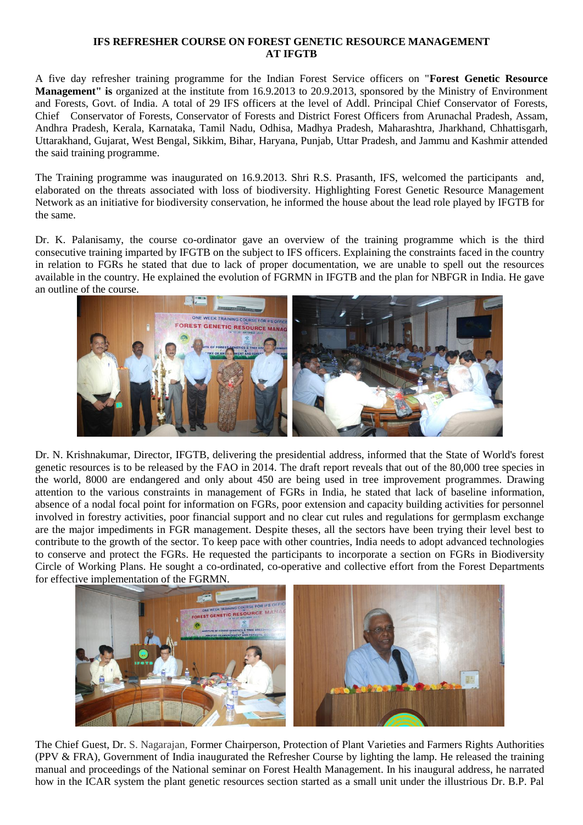## **IFS REFRESHER COURSE ON FOREST GENETIC RESOURCE MANAGEMENT AT IFGTB**

A five day refresher training programme for the Indian Forest Service officers on "**Forest Genetic Resource Management" is** organized at the institute from 16.9.2013 to 20.9.2013, sponsored by the Ministry of Environment and Forests, Govt. of India. A total of 29 IFS officers at the level of Addl. Principal Chief Conservator of Forests, Chief Conservator of Forests, Conservator of Forests and District Forest Officers from Arunachal Pradesh, Assam, Andhra Pradesh, Kerala, Karnataka, Tamil Nadu, Odhisa, Madhya Pradesh, Maharashtra, Jharkhand, Chhattisgarh, Uttarakhand, Gujarat, West Bengal, Sikkim, Bihar, Haryana, Punjab, Uttar Pradesh, and Jammu and Kashmir attended the said training programme.

The Training programme was inaugurated on 16.9.2013. Shri R.S. Prasanth, IFS, welcomed the participants and, elaborated on the threats associated with loss of biodiversity. Highlighting Forest Genetic Resource Management Network as an initiative for biodiversity conservation, he informed the house about the lead role played by IFGTB for the same.

Dr. K. Palanisamy, the course co-ordinator gave an overview of the training programme which is the third consecutive training imparted by IFGTB on the subject to IFS officers. Explaining the constraints faced in the country in relation to FGRs he stated that due to lack of proper documentation, we are unable to spell out the resources available in the country. He explained the evolution of FGRMN in IFGTB and the plan for NBFGR in India. He gave an outline of the course.



Dr. N. Krishnakumar, Director, IFGTB, delivering the presidential address, informed that the State of World's forest genetic resources is to be released by the FAO in 2014. The draft report reveals that out of the 80,000 tree species in the world, 8000 are endangered and only about 450 are being used in tree improvement programmes. Drawing attention to the various constraints in management of FGRs in India, he stated that lack of baseline information, absence of a nodal focal point for information on FGRs, poor extension and capacity building activities for personnel involved in forestry activities, poor financial support and no clear cut rules and regulations for germplasm exchange are the major impediments in FGR management. Despite theses, all the sectors have been trying their level best to contribute to the growth of the sector. To keep pace with other countries, India needs to adopt advanced technologies to conserve and protect the FGRs. He requested the participants to incorporate a section on FGRs in Biodiversity Circle of Working Plans. He sought a co-ordinated, co-operative and collective effort from the Forest Departments for effective implementation of the FGRMN.



The Chief Guest, Dr. S. Nagarajan, Former Chairperson, Protection of Plant Varieties and Farmers Rights Authorities (PPV & FRA), Government of India inaugurated the Refresher Course by lighting the lamp. He released the training manual and proceedings of the National seminar on Forest Health Management. In his inaugural address, he narrated how in the ICAR system the plant genetic resources section started as a small unit under the illustrious Dr. B.P. Pal